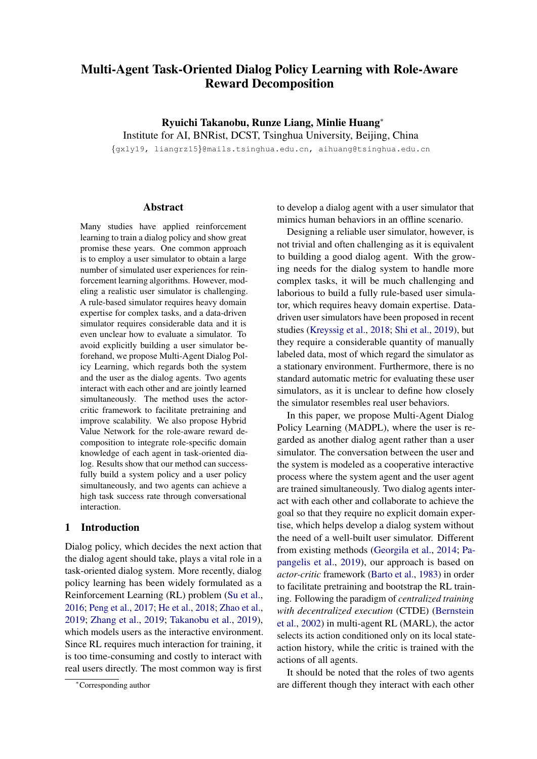# Multi-Agent Task-Oriented Dialog Policy Learning with Role-Aware Reward Decomposition

Ryuichi Takanobu, Runze Liang, Minlie Huang<sup>∗</sup> Institute for AI, BNRist, DCST, Tsinghua University, Beijing, China

{gxly19, liangrz15}@mails.tsinghua.edu.cn, aihuang@tsinghua.edu.cn

## Abstract

Many studies have applied reinforcement learning to train a dialog policy and show great promise these years. One common approach is to employ a user simulator to obtain a large number of simulated user experiences for reinforcement learning algorithms. However, modeling a realistic user simulator is challenging. A rule-based simulator requires heavy domain expertise for complex tasks, and a data-driven simulator requires considerable data and it is even unclear how to evaluate a simulator. To avoid explicitly building a user simulator beforehand, we propose Multi-Agent Dialog Policy Learning, which regards both the system and the user as the dialog agents. Two agents interact with each other and are jointly learned simultaneously. The method uses the actorcritic framework to facilitate pretraining and improve scalability. We also propose Hybrid Value Network for the role-aware reward decomposition to integrate role-specific domain knowledge of each agent in task-oriented dialog. Results show that our method can successfully build a system policy and a user policy simultaneously, and two agents can achieve a high task success rate through conversational interaction.

# 1 Introduction

Dialog policy, which decides the next action that the dialog agent should take, plays a vital role in a task-oriented dialog system. More recently, dialog policy learning has been widely formulated as a Reinforcement Learning (RL) problem [\(Su et al.,](#page-10-0) [2016;](#page-10-0) [Peng et al.,](#page-10-1) [2017;](#page-10-1) [He et al.,](#page-9-0) [2018;](#page-9-0) [Zhao et al.,](#page-10-2) [2019;](#page-10-2) [Zhang et al.,](#page-10-3) [2019;](#page-10-3) [Takanobu et al.,](#page-10-4) [2019\)](#page-10-4), which models users as the interactive environment. Since RL requires much interaction for training, it is too time-consuming and costly to interact with real users directly. The most common way is first

to develop a dialog agent with a user simulator that mimics human behaviors in an offline scenario.

Designing a reliable user simulator, however, is not trivial and often challenging as it is equivalent to building a good dialog agent. With the growing needs for the dialog system to handle more complex tasks, it will be much challenging and laborious to build a fully rule-based user simulator, which requires heavy domain expertise. Datadriven user simulators have been proposed in recent studies [\(Kreyssig et al.,](#page-9-1) [2018;](#page-9-1) [Shi et al.,](#page-10-5) [2019\)](#page-10-5), but they require a considerable quantity of manually labeled data, most of which regard the simulator as a stationary environment. Furthermore, there is no standard automatic metric for evaluating these user simulators, as it is unclear to define how closely the simulator resembles real user behaviors.

In this paper, we propose Multi-Agent Dialog Policy Learning (MADPL), where the user is regarded as another dialog agent rather than a user simulator. The conversation between the user and the system is modeled as a cooperative interactive process where the system agent and the user agent are trained simultaneously. Two dialog agents interact with each other and collaborate to achieve the goal so that they require no explicit domain expertise, which helps develop a dialog system without the need of a well-built user simulator. Different from existing methods [\(Georgila et al.,](#page-9-2) [2014;](#page-9-2) [Pa](#page-10-6)[pangelis et al.,](#page-10-6) [2019\)](#page-10-6), our approach is based on *actor-critic* framework [\(Barto et al.,](#page-9-3) [1983\)](#page-9-3) in order to facilitate pretraining and bootstrap the RL training. Following the paradigm of *centralized training with decentralized execution* (CTDE) [\(Bernstein](#page-9-4) [et al.,](#page-9-4) [2002\)](#page-9-4) in multi-agent RL (MARL), the actor selects its action conditioned only on its local stateaction history, while the critic is trained with the actions of all agents.

It should be noted that the roles of two agents are different though they interact with each other

<sup>∗</sup>Corresponding author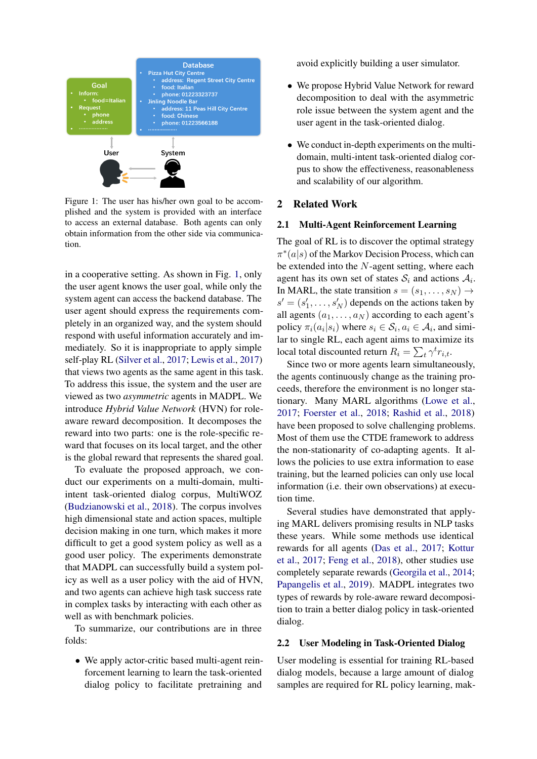<span id="page-1-0"></span>

Figure 1: The user has his/her own goal to be accomplished and the system is provided with an interface to access an external database. Both agents can only obtain information from the other side via communication.

in a cooperative setting. As shown in Fig. [1,](#page-1-0) only the user agent knows the user goal, while only the system agent can access the backend database. The user agent should express the requirements completely in an organized way, and the system should respond with useful information accurately and immediately. So it is inappropriate to apply simple self-play RL [\(Silver et al.,](#page-10-7) [2017;](#page-10-7) [Lewis et al.,](#page-9-5) [2017\)](#page-9-5) that views two agents as the same agent in this task. To address this issue, the system and the user are viewed as two *asymmetric* agents in MADPL. We introduce *Hybrid Value Network* (HVN) for roleaware reward decomposition. It decomposes the reward into two parts: one is the role-specific reward that focuses on its local target, and the other is the global reward that represents the shared goal.

To evaluate the proposed approach, we conduct our experiments on a multi-domain, multiintent task-oriented dialog corpus, MultiWOZ [\(Budzianowski et al.,](#page-9-6) [2018\)](#page-9-6). The corpus involves high dimensional state and action spaces, multiple decision making in one turn, which makes it more difficult to get a good system policy as well as a good user policy. The experiments demonstrate that MADPL can successfully build a system policy as well as a user policy with the aid of HVN, and two agents can achieve high task success rate in complex tasks by interacting with each other as well as with benchmark policies.

To summarize, our contributions are in three folds:

• We apply actor-critic based multi-agent reinforcement learning to learn the task-oriented dialog policy to facilitate pretraining and avoid explicitly building a user simulator.

- We propose Hybrid Value Network for reward decomposition to deal with the asymmetric role issue between the system agent and the user agent in the task-oriented dialog.
- We conduct in-depth experiments on the multidomain, multi-intent task-oriented dialog corpus to show the effectiveness, reasonableness and scalability of our algorithm.

### 2 Related Work

#### 2.1 Multi-Agent Reinforcement Learning

The goal of RL is to discover the optimal strategy  $\pi^*(a|s)$  of the Markov Decision Process, which can be extended into the N-agent setting, where each agent has its own set of states  $S_i$  and actions  $A_i$ . In MARL, the state transition  $s = (s_1, \ldots, s_N) \rightarrow$  $s' = (s'_1, \dots, s'_N)$  depends on the actions taken by all agents  $(a_1, \ldots, a_N)$  according to each agent's policy  $\pi_i(a_i|s_i)$  where  $s_i \in S_i, a_i \in A_i$ , and similar to single RL, each agent aims to maximize its local total discounted return  $R_i = \sum_t \gamma^t r_{i,t}$ .

Since two or more agents learn simultaneously, the agents continuously change as the training proceeds, therefore the environment is no longer stationary. Many MARL algorithms [\(Lowe et al.,](#page-9-7) [2017;](#page-9-7) [Foerster et al.,](#page-9-8) [2018;](#page-9-8) [Rashid et al.,](#page-10-8) [2018\)](#page-10-8) have been proposed to solve challenging problems. Most of them use the CTDE framework to address the non-stationarity of co-adapting agents. It allows the policies to use extra information to ease training, but the learned policies can only use local information (i.e. their own observations) at execution time.

Several studies have demonstrated that applying MARL delivers promising results in NLP tasks these years. While some methods use identical rewards for all agents [\(Das et al.,](#page-9-9) [2017;](#page-9-9) [Kottur](#page-9-10) [et al.,](#page-9-10) [2017;](#page-9-10) [Feng et al.,](#page-9-11) [2018\)](#page-9-11), other studies use completely separate rewards [\(Georgila et al.,](#page-9-2) [2014;](#page-9-2) [Papangelis et al.,](#page-10-6) [2019\)](#page-10-6). MADPL integrates two types of rewards by role-aware reward decomposition to train a better dialog policy in task-oriented dialog.

#### 2.2 User Modeling in Task-Oriented Dialog

User modeling is essential for training RL-based dialog models, because a large amount of dialog samples are required for RL policy learning, mak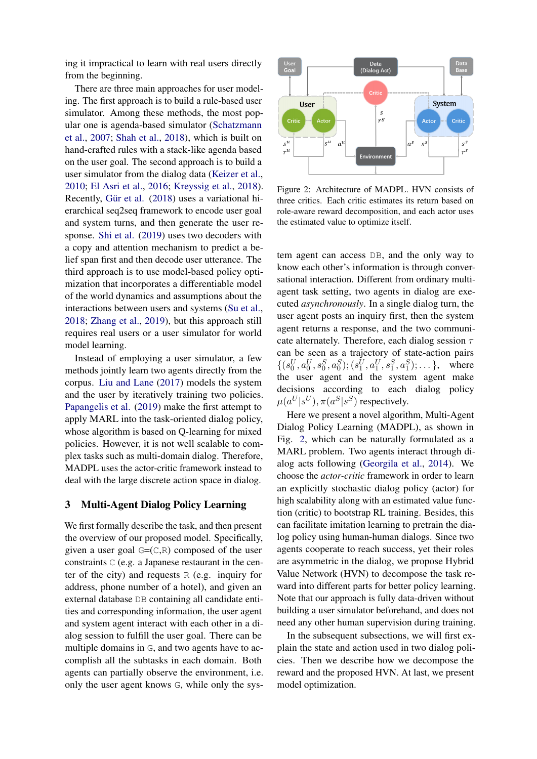ing it impractical to learn with real users directly from the beginning.

There are three main approaches for user modeling. The first approach is to build a rule-based user simulator. Among these methods, the most popular one is agenda-based simulator [\(Schatzmann](#page-10-9) [et al.,](#page-10-9) [2007;](#page-10-9) [Shah et al.,](#page-10-10) [2018\)](#page-10-10), which is built on hand-crafted rules with a stack-like agenda based on the user goal. The second approach is to build a user simulator from the dialog data [\(Keizer et al.,](#page-9-12) [2010;](#page-9-12) [El Asri et al.,](#page-9-13) [2016;](#page-9-13) [Kreyssig et al.,](#page-9-1) [2018\)](#page-9-1). Recently, Gür et al. [\(2018\)](#page-9-14) uses a variational hierarchical seq2seq framework to encode user goal and system turns, and then generate the user response. [Shi et al.](#page-10-5) [\(2019\)](#page-10-5) uses two decoders with a copy and attention mechanism to predict a belief span first and then decode user utterance. The third approach is to use model-based policy optimization that incorporates a differentiable model of the world dynamics and assumptions about the interactions between users and systems [\(Su et al.,](#page-10-11) [2018;](#page-10-11) [Zhang et al.,](#page-10-3) [2019\)](#page-10-3), but this approach still requires real users or a user simulator for world model learning.

Instead of employing a user simulator, a few methods jointly learn two agents directly from the corpus. [Liu and Lane](#page-9-15) [\(2017\)](#page-9-15) models the system and the user by iteratively training two policies. [Papangelis et al.](#page-10-6) [\(2019\)](#page-10-6) make the first attempt to apply MARL into the task-oriented dialog policy, whose algorithm is based on Q-learning for mixed policies. However, it is not well scalable to complex tasks such as multi-domain dialog. Therefore, MADPL uses the actor-critic framework instead to deal with the large discrete action space in dialog.

### 3 Multi-Agent Dialog Policy Learning

We first formally describe the task, and then present the overview of our proposed model. Specifically, given a user goal  $G=(C,R)$  composed of the user constraints C (e.g. a Japanese restaurant in the center of the city) and requests R (e.g. inquiry for address, phone number of a hotel), and given an external database DB containing all candidate entities and corresponding information, the user agent and system agent interact with each other in a dialog session to fulfill the user goal. There can be multiple domains in G, and two agents have to accomplish all the subtasks in each domain. Both agents can partially observe the environment, i.e. only the user agent knows G, while only the sys-

<span id="page-2-0"></span>

Figure 2: Architecture of MADPL. HVN consists of three critics. Each critic estimates its return based on role-aware reward decomposition, and each actor uses the estimated value to optimize itself.

tem agent can access DB, and the only way to know each other's information is through conversational interaction. Different from ordinary multiagent task setting, two agents in dialog are executed *asynchronously*. In a single dialog turn, the user agent posts an inquiry first, then the system agent returns a response, and the two communicate alternately. Therefore, each dialog session  $\tau$ can be seen as a trajectory of state-action pairs  $\{(s_0^U, a_0^U, s_0^S, a_0^S); (s_1^U, a_1^U, s_1^S, a_1^S); \dots\},\$  where the user agent and the system agent make decisions according to each dialog policy  $\mu(a^U|s^U), \pi(a^S|s^S)$  respectively.

Here we present a novel algorithm, Multi-Agent Dialog Policy Learning (MADPL), as shown in Fig. [2,](#page-2-0) which can be naturally formulated as a MARL problem. Two agents interact through dialog acts following [\(Georgila et al.,](#page-9-2) [2014\)](#page-9-2). We choose the *actor-critic* framework in order to learn an explicitly stochastic dialog policy (actor) for high scalability along with an estimated value function (critic) to bootstrap RL training. Besides, this can facilitate imitation learning to pretrain the dialog policy using human-human dialogs. Since two agents cooperate to reach success, yet their roles are asymmetric in the dialog, we propose Hybrid Value Network (HVN) to decompose the task reward into different parts for better policy learning. Note that our approach is fully data-driven without building a user simulator beforehand, and does not need any other human supervision during training.

In the subsequent subsections, we will first explain the state and action used in two dialog policies. Then we describe how we decompose the reward and the proposed HVN. At last, we present model optimization.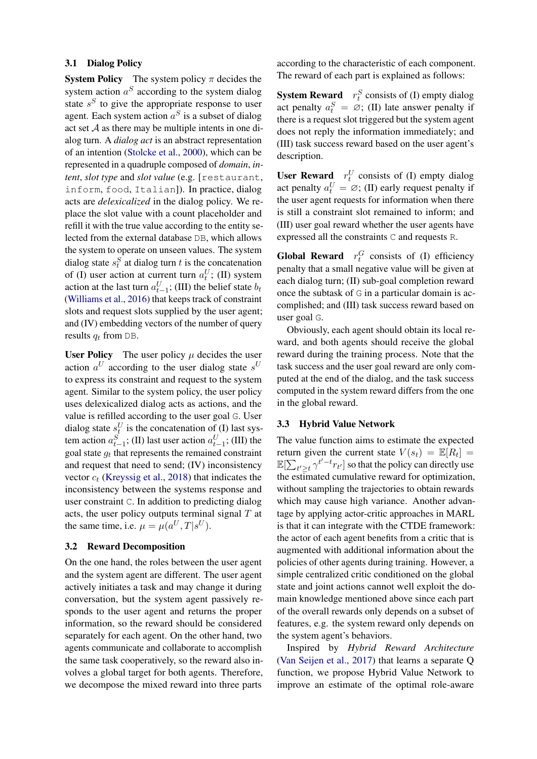### 3.1 Dialog Policy

**System Policy** The system policy  $\pi$  decides the system action  $a^S$  according to the system dialog state  $s<sup>S</sup>$  to give the appropriate response to user agent. Each system action  $a^S$  is a subset of dialog act set  $A$  as there may be multiple intents in one dialog turn. A *dialog act* is an abstract representation of an intention [\(Stolcke et al.,](#page-10-12) [2000\)](#page-10-12), which can be represented in a quadruple composed of *domain*, *intent*, *slot type* and *slot value* (e.g. [restaurant, inform, food, Italian]). In practice, dialog acts are *delexicalized* in the dialog policy. We replace the slot value with a count placeholder and refill it with the true value according to the entity selected from the external database DB, which allows the system to operate on unseen values. The system dialog state  $s_t^S$  at dialog turn t is the concatenation of (I) user action at current turn  $a_t^U$ ; (II) system action at the last turn  $a_{t-1}^U$ ; (III) the belief state  $b_t$ [\(Williams et al.,](#page-10-13) [2016\)](#page-10-13) that keeps track of constraint slots and request slots supplied by the user agent; and (IV) embedding vectors of the number of query results  $q_t$  from DB.

User Policy The user policy  $\mu$  decides the user action  $a^U$  according to the user dialog state  $s^U$ to express its constraint and request to the system agent. Similar to the system policy, the user policy uses delexicalized dialog acts as actions, and the value is refilled according to the user goal G. User dialog state  $s_t^U$  is the concatenation of (I) last system action  $a_{t-1}^S$ ; (II) last user action  $a_{t-1}^U$ ; (III) the goal state  $g_t$  that represents the remained constraint and request that need to send; (IV) inconsistency vector  $c_t$  [\(Kreyssig et al.,](#page-9-1) [2018\)](#page-9-1) that indicates the inconsistency between the systems response and user constraint C. In addition to predicting dialog acts, the user policy outputs terminal signal  $T$  at the same time, i.e.  $\mu = \mu(a^U, T | s^U)$ .

### 3.2 Reward Decomposition

On the one hand, the roles between the user agent and the system agent are different. The user agent actively initiates a task and may change it during conversation, but the system agent passively responds to the user agent and returns the proper information, so the reward should be considered separately for each agent. On the other hand, two agents communicate and collaborate to accomplish the same task cooperatively, so the reward also involves a global target for both agents. Therefore, we decompose the mixed reward into three parts

according to the characteristic of each component. The reward of each part is explained as follows:

**System Reward**  $r_t^S$  consists of (I) empty dialog act penalty  $a_t^S = \emptyset$ ; (II) late answer penalty if there is a request slot triggered but the system agent does not reply the information immediately; and (III) task success reward based on the user agent's description.

User Reward  $r_t^U$  consists of (I) empty dialog act penalty  $a_t^U = \emptyset$ ; (II) early request penalty if the user agent requests for information when there is still a constraint slot remained to inform; and (III) user goal reward whether the user agents have expressed all the constraints C and requests R.

**Global Reward**  $r_t^G$  consists of (I) efficiency penalty that a small negative value will be given at each dialog turn; (II) sub-goal completion reward once the subtask of G in a particular domain is accomplished; and (III) task success reward based on user goal G.

Obviously, each agent should obtain its local reward, and both agents should receive the global reward during the training process. Note that the task success and the user goal reward are only computed at the end of the dialog, and the task success computed in the system reward differs from the one in the global reward.

#### 3.3 Hybrid Value Network

The value function aims to estimate the expected return given the current state  $V(s_t) = \mathbb{E}[R_t] =$  $\mathbb{E}[\sum_{t'\geq t} \gamma^{t'-t} r_{t'}]$  so that the policy can directly use the estimated cumulative reward for optimization, without sampling the trajectories to obtain rewards which may cause high variance. Another advantage by applying actor-critic approaches in MARL is that it can integrate with the CTDE framework: the actor of each agent benefits from a critic that is augmented with additional information about the policies of other agents during training. However, a simple centralized critic conditioned on the global state and joint actions cannot well exploit the domain knowledge mentioned above since each part of the overall rewards only depends on a subset of features, e.g. the system reward only depends on the system agent's behaviors.

Inspired by *Hybrid Reward Architecture* [\(Van Seijen et al.,](#page-10-14) [2017\)](#page-10-14) that learns a separate Q function, we propose Hybrid Value Network to improve an estimate of the optimal role-aware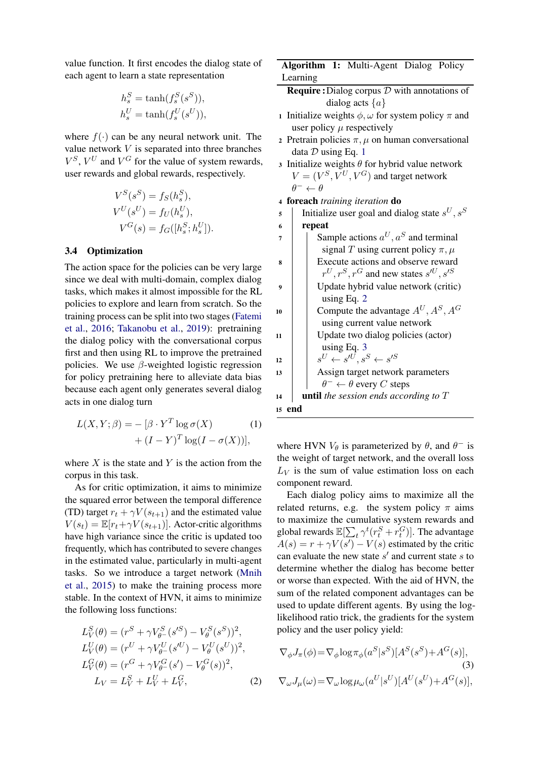value function. It first encodes the dialog state of each agent to learn a state representation

$$
h_s^S = \tanh(f_s^S(s^S)),
$$
  

$$
h_s^U = \tanh(f_s^U(s^U)),
$$

where  $f(\cdot)$  can be any neural network unit. The value network  $V$  is separated into three branches  $V^S$ ,  $V^U$  and  $V^G$  for the value of system rewards, user rewards and global rewards, respectively.

$$
V^S(s^S) = f_S(h_s^S),
$$
  
\n
$$
V^U(s^U) = f_U(h_s^U),
$$
  
\n
$$
V^G(s) = f_G([h_s^S; h_s^U]).
$$

#### 3.4 Optimization

The action space for the policies can be very large since we deal with multi-domain, complex dialog tasks, which makes it almost impossible for the RL policies to explore and learn from scratch. So the training process can be split into two stages [\(Fatemi](#page-9-16) [et al.,](#page-9-16) [2016;](#page-9-16) [Takanobu et al.,](#page-10-4) [2019\)](#page-10-4): pretraining the dialog policy with the conversational corpus first and then using RL to improve the pretrained policies. We use  $\beta$ -weighted logistic regression for policy pretraining here to alleviate data bias because each agent only generates several dialog acts in one dialog turn

$$
L(X, Y; \beta) = -[\beta \cdot Y^T \log \sigma(X) \qquad (1)
$$

$$
+ (I - Y)^T \log(I - \sigma(X))],
$$

where  $X$  is the state and  $Y$  is the action from the corpus in this task.

As for critic optimization, it aims to minimize the squared error between the temporal difference (TD) target  $r_t + \gamma V(s_{t+1})$  and the estimated value  $V(s_t) = \mathbb{E}[r_t + \gamma V(s_{t+1})]$ . Actor-critic algorithms have high variance since the critic is updated too frequently, which has contributed to severe changes in the estimated value, particularly in multi-agent tasks. So we introduce a target network [\(Mnih](#page-10-15) [et al.,](#page-10-15) [2015\)](#page-10-15) to make the training process more stable. In the context of HVN, it aims to minimize the following loss functions:

$$
L_V^S(\theta) = (r^S + \gamma V_{\theta^-}^S (s'^S) - V_{\theta}^S (s^S))^2,
$$
  
\n
$$
L_V^U(\theta) = (r^U + \gamma V_{\theta^-}^U (s'^U) - V_{\theta}^U (s^U))^2,
$$
  
\n
$$
L_V^G(\theta) = (r^G + \gamma V_{\theta^-}^G (s') - V_{\theta}^G (s))^2,
$$
  
\n
$$
L_V = L_V^S + L_V^U + L_V^G,
$$
 (2)

Algorithm 1: Multi-Agent Dialog Policy Learning

- <span id="page-4-3"></span>**Require :** Dialog corpus  $D$  with annotations of dialog acts  $\{a\}$
- 1 Initialize weights  $\phi$ ,  $\omega$  for system policy  $\pi$  and user policy  $\mu$  respectively
- 2 Pretrain policies  $\pi$ ,  $\mu$  on human conversational data  $D$  using Eq. [1](#page-4-0)
- 3 Initialize weights  $\theta$  for hybrid value network  $V = (V^S, V^U, V^G)$  and target network  $\theta^- \leftarrow \theta$
- <sup>4</sup> foreach *training iteration* do
- 5 | Initialize user goal and dialog state  $s^U, s^S$

| 6  | repeat                                                        |
|----|---------------------------------------------------------------|
| 7  | Sample actions $a^U, a^S$ and terminal                        |
|    | signal T using current policy $\pi$ , $\mu$                   |
| 8  | Execute actions and observe reward                            |
|    | $r^U, r^S, r^G$ and new states $s^{\prime U}, s^{\prime S}$   |
| 9  | Update hybrid value network (critic)                          |
|    | using Eq. $2$                                                 |
| 10 | Compute the advantage $A^U, A^S, A^G$                         |
|    | using current value network                                   |
| 11 | Update two dialog policies (actor)                            |
|    | using Eq. $3$                                                 |
| 12 | $s^U \leftarrow s^{\prime U}$ , $s^S \leftarrow s^{\prime S}$ |
| 13 | Assign target network parameters                              |
|    | $\theta^- \leftarrow \theta$ every C steps                    |
| 14 | <b>until</b> the session ends according to $T$                |
| 15 | end                                                           |

<span id="page-4-0"></span>where HVN  $V_{\theta}$  is parameterized by  $\theta$ , and  $\theta^-$  is the weight of target network, and the overall loss  $L_V$  is the sum of value estimation loss on each component reward.

Each dialog policy aims to maximize all the related returns, e.g. the system policy  $\pi$  aims to maximize the cumulative system rewards and global rewards  $\mathbb{E}[\sum_t \gamma^t (r^S_t + r^G_t)].$  The advantage  $A(s) = r + \gamma V(s') - V(s)$  estimated by the critic can evaluate the new state  $s'$  and current state  $s$  to determine whether the dialog has become better or worse than expected. With the aid of HVN, the sum of the related component advantages can be used to update different agents. By using the loglikelihood ratio trick, the gradients for the system policy and the user policy yield:

<span id="page-4-2"></span><span id="page-4-1"></span>
$$
\nabla_{\phi} J_{\pi}(\phi) = \nabla_{\phi} \log \pi_{\phi}(a^{S} | s^{S}) [A^{S}(s^{S}) + A^{G}(s)],
$$
\n(3)  
\n
$$
\nabla_{\omega} J_{\mu}(\omega) = \nabla_{\omega} \log \mu_{\omega}(a^{U} | s^{U}) [A^{U}(s^{U}) + A^{G}(s)],
$$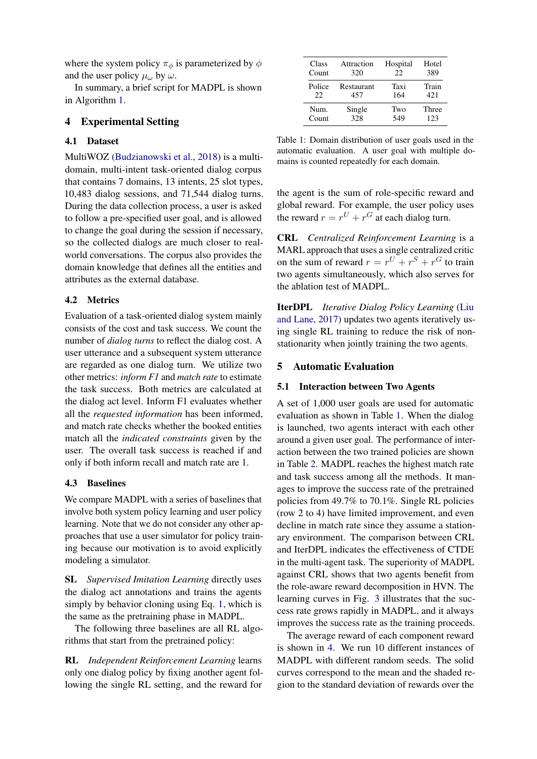where the system policy  $\pi_{\phi}$  is parameterized by  $\phi$ and the user policy  $\mu_\omega$  by  $\omega$ .

In summary, a brief script for MADPL is shown in Algorithm [1.](#page-4-3)

# 4 Experimental Setting

# 4.1 Dataset

MultiWOZ [\(Budzianowski et al.,](#page-9-6) [2018\)](#page-9-6) is a multidomain, multi-intent task-oriented dialog corpus that contains 7 domains, 13 intents, 25 slot types, 10,483 dialog sessions, and 71,544 dialog turns. During the data collection process, a user is asked to follow a pre-specified user goal, and is allowed to change the goal during the session if necessary, so the collected dialogs are much closer to realworld conversations. The corpus also provides the domain knowledge that defines all the entities and attributes as the external database.

# 4.2 Metrics

Evaluation of a task-oriented dialog system mainly consists of the cost and task success. We count the number of *dialog turns* to reflect the dialog cost. A user utterance and a subsequent system utterance are regarded as one dialog turn. We utilize two other metrics: *inform F1* and *match rate* to estimate the task success. Both metrics are calculated at the dialog act level. Inform F1 evaluates whether all the *requested information* has been informed, and match rate checks whether the booked entities match all the *indicated constraints* given by the user. The overall task success is reached if and only if both inform recall and match rate are 1.

# 4.3 Baselines

We compare MADPL with a series of baselines that involve both system policy learning and user policy learning. Note that we do not consider any other approaches that use a user simulator for policy training because our motivation is to avoid explicitly modeling a simulator.

SL *Supervised Imitation Learning* directly uses the dialog act annotations and trains the agents simply by behavior cloning using Eq. [1,](#page-4-0) which is the same as the pretraining phase in MADPL.

The following three baselines are all RL algorithms that start from the pretrained policy:

RL *Independent Reinforcement Learning* learns only one dialog policy by fixing another agent following the single RL setting, and the reward for

<span id="page-5-0"></span>

| Class  | Attraction | Hospital | Hotel |
|--------|------------|----------|-------|
| Count  | 320        | 22       | 389   |
| Police | Restaurant | Taxi     | Train |
| 22     | 457        | 164      | 42.1  |
| Num.   | Single     | Two      | Three |
| Count  | 328        | 549      | 123   |

Table 1: Domain distribution of user goals used in the automatic evaluation. A user goal with multiple domains is counted repeatedly for each domain.

the agent is the sum of role-specific reward and global reward. For example, the user policy uses the reward  $r = r^U + r^G$  at each dialog turn.

CRL *Centralized Reinforcement Learning* is a MARL approach that uses a single centralized critic on the sum of reward  $r = r^U + r^S + r^G$  to train two agents simultaneously, which also serves for the ablation test of MADPL.

IterDPL *Iterative Dialog Policy Learning* [\(Liu](#page-9-15) [and Lane,](#page-9-15) [2017\)](#page-9-15) updates two agents iteratively using single RL training to reduce the risk of nonstationarity when jointly training the two agents.

### 5 Automatic Evaluation

#### 5.1 Interaction between Two Agents

A set of 1,000 user goals are used for automatic evaluation as shown in Table [1.](#page-5-0) When the dialog is launched, two agents interact with each other around a given user goal. The performance of interaction between the two trained policies are shown in Table [2.](#page-6-0) MADPL reaches the highest match rate and task success among all the methods. It manages to improve the success rate of the pretrained policies from 49.7% to 70.1%. Single RL policies (row 2 to 4) have limited improvement, and even decline in match rate since they assume a stationary environment. The comparison between CRL and IterDPL indicates the effectiveness of CTDE in the multi-agent task. The superiority of MADPL against CRL shows that two agents benefit from the role-aware reward decomposition in HVN. The learning curves in Fig. [3](#page-6-1) illustrates that the success rate grows rapidly in MADPL, and it always improves the success rate as the training proceeds.

The average reward of each component reward is shown in [4.](#page-6-2) We run 10 different instances of MADPL with different random seeds. The solid curves correspond to the mean and the shaded region to the standard deviation of rewards over the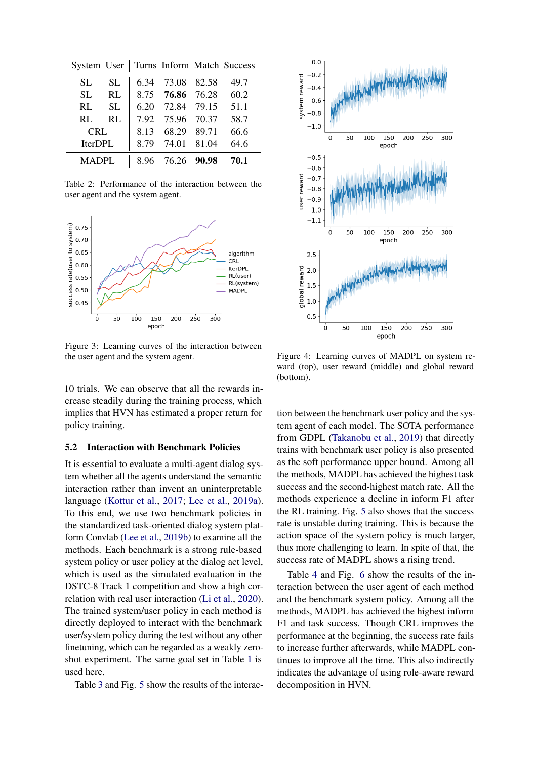<span id="page-6-0"></span>

|              |     |      |                  | System User   Turns Inform Match Success |
|--------------|-----|------|------------------|------------------------------------------|
| SL.          | SL. |      | 6.34 73.08 82.58 | 49.7                                     |
| SL.          | RL  |      | 8.75 76.86 76.28 | 60.2                                     |
| RL           | SL. |      | 6.20 72.84 79.15 | 51.1                                     |
| $RI_{\odot}$ | RI. |      | 7.92 75.96 70.37 | 58.7                                     |
| <b>CRL</b>   |     | 8.13 | 68.29 89.71      | 66.6                                     |
| IterDPL      |     | 8.79 | 74.01 81.04      | 64.6                                     |
| <b>MADPL</b> |     |      | 8.96 76.26 90.98 | 70.1                                     |

Table 2: Performance of the interaction between the user agent and the system agent.

<span id="page-6-1"></span>

Figure 3: Learning curves of the interaction between the user agent and the system agent.

10 trials. We can observe that all the rewards increase steadily during the training process, which implies that HVN has estimated a proper return for policy training.

#### 5.2 Interaction with Benchmark Policies

It is essential to evaluate a multi-agent dialog system whether all the agents understand the semantic interaction rather than invent an uninterpretable language [\(Kottur et al.,](#page-9-10) [2017;](#page-9-10) [Lee et al.,](#page-9-17) [2019a\)](#page-9-17). To this end, we use two benchmark policies in the standardized task-oriented dialog system platform Convlab [\(Lee et al.,](#page-9-18) [2019b\)](#page-9-18) to examine all the methods. Each benchmark is a strong rule-based system policy or user policy at the dialog act level, which is used as the simulated evaluation in the DSTC-8 Track 1 competition and show a high correlation with real user interaction [\(Li et al.,](#page-9-19) [2020\)](#page-9-19). The trained system/user policy in each method is directly deployed to interact with the benchmark user/system policy during the test without any other finetuning, which can be regarded as a weakly zeroshot experiment. The same goal set in Table [1](#page-5-0) is used here.

Table [3](#page-7-0) and Fig. [5](#page-7-1) show the results of the interac-

<span id="page-6-2"></span>

Figure 4: Learning curves of MADPL on system reward (top), user reward (middle) and global reward (bottom).

tion between the benchmark user policy and the system agent of each model. The SOTA performance from GDPL [\(Takanobu et al.,](#page-10-4) [2019\)](#page-10-4) that directly trains with benchmark user policy is also presented as the soft performance upper bound. Among all the methods, MADPL has achieved the highest task success and the second-highest match rate. All the methods experience a decline in inform F1 after the RL training. Fig. [5](#page-7-1) also shows that the success rate is unstable during training. This is because the action space of the system policy is much larger, thus more challenging to learn. In spite of that, the success rate of MADPL shows a rising trend.

Table [4](#page-7-2) and Fig. [6](#page-7-3) show the results of the interaction between the user agent of each method and the benchmark system policy. Among all the methods, MADPL has achieved the highest inform F1 and task success. Though CRL improves the performance at the beginning, the success rate fails to increase further afterwards, while MADPL continues to improve all the time. This also indirectly indicates the advantage of using role-aware reward decomposition in HVN.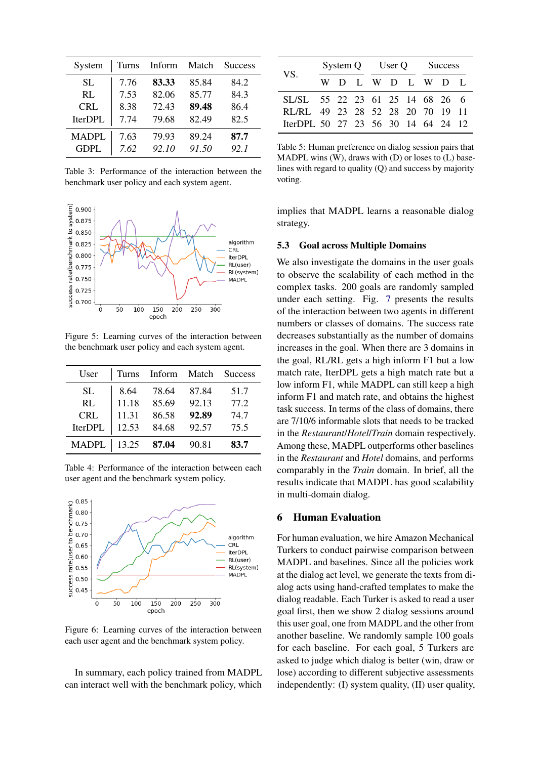<span id="page-7-0"></span>

| System       | Turns | Inform | Match | <b>Success</b> |
|--------------|-------|--------|-------|----------------|
| SL.          | 7.76  | 83.33  | 85.84 | 84.2           |
| RI.          | 7.53  | 82.06  | 85.77 | 84.3           |
| <b>CRL</b>   | 8.38  | 72.43  | 89.48 | 86.4           |
| IterDPL      | 7.74  | 79.68  | 82.49 | 82.5           |
| <b>MADPL</b> | 7.63  | 79.93  | 89.24 | 87.7           |
| <b>GDPL</b>  | 7.62  | 92.10  | 91.50 | 92.1           |

Table 3: Performance of the interaction between the benchmark user policy and each system agent.

<span id="page-7-1"></span>

Figure 5: Learning curves of the interaction between the benchmark user policy and each system agent.

<span id="page-7-2"></span>

| User           |       | Turns Inform Match |       | Success |
|----------------|-------|--------------------|-------|---------|
| <b>SL</b>      | 8.64  | 78.64              | 87.84 | 51.7    |
| RL             | 11.18 | 85.69              | 92.13 | 77.2    |
| <b>CRL</b>     | 11.31 | 86.58              | 92.89 | 74.7    |
| <b>IterDPL</b> | 12.53 | 84.68              | 92.57 | 75.5    |
| MADPL   13.25  |       | 87.04              | 90.81 | 83.7    |

Table 4: Performance of the interaction between each user agent and the benchmark system policy.

<span id="page-7-3"></span>

Figure 6: Learning curves of the interaction between each user agent and the benchmark system policy.

In summary, each policy trained from MADPL can interact well with the benchmark policy, which

<span id="page-7-4"></span>

| VS.                                |  |  |  | System Q User Q Success |  |  |  |           |  |
|------------------------------------|--|--|--|-------------------------|--|--|--|-----------|--|
|                                    |  |  |  |                         |  |  |  | WDLWDLWDL |  |
| SL/SL 55 22 23 61 25 14 68 26 6    |  |  |  |                         |  |  |  |           |  |
| RL/RL 49 23 28 52 28 20 70 19 11   |  |  |  |                         |  |  |  |           |  |
| IterDPL 50 27 23 56 30 14 64 24 12 |  |  |  |                         |  |  |  |           |  |

Table 5: Human preference on dialog session pairs that MADPL wins  $(W)$ , draws with  $(D)$  or loses to  $(L)$  baselines with regard to quality (Q) and success by majority voting.

implies that MADPL learns a reasonable dialog strategy.

### 5.3 Goal across Multiple Domains

We also investigate the domains in the user goals to observe the scalability of each method in the complex tasks. 200 goals are randomly sampled under each setting. Fig. [7](#page-8-0) presents the results of the interaction between two agents in different numbers or classes of domains. The success rate decreases substantially as the number of domains increases in the goal. When there are 3 domains in the goal, RL/RL gets a high inform F1 but a low match rate, IterDPL gets a high match rate but a low inform F1, while MADPL can still keep a high inform F1 and match rate, and obtains the highest task success. In terms of the class of domains, there are 7/10/6 informable slots that needs to be tracked in the *Restaurant*/*Hotel*/*Train* domain respectively. Among these, MADPL outperforms other baselines in the *Restaurant* and *Hotel* domains, and performs comparably in the *Train* domain. In brief, all the results indicate that MADPL has good scalability in multi-domain dialog.

### 6 Human Evaluation

For human evaluation, we hire Amazon Mechanical Turkers to conduct pairwise comparison between MADPL and baselines. Since all the policies work at the dialog act level, we generate the texts from dialog acts using hand-crafted templates to make the dialog readable. Each Turker is asked to read a user goal first, then we show 2 dialog sessions around this user goal, one from MADPL and the other from another baseline. We randomly sample 100 goals for each baseline. For each goal, 5 Turkers are asked to judge which dialog is better (win, draw or lose) according to different subjective assessments independently: (I) system quality, (II) user quality,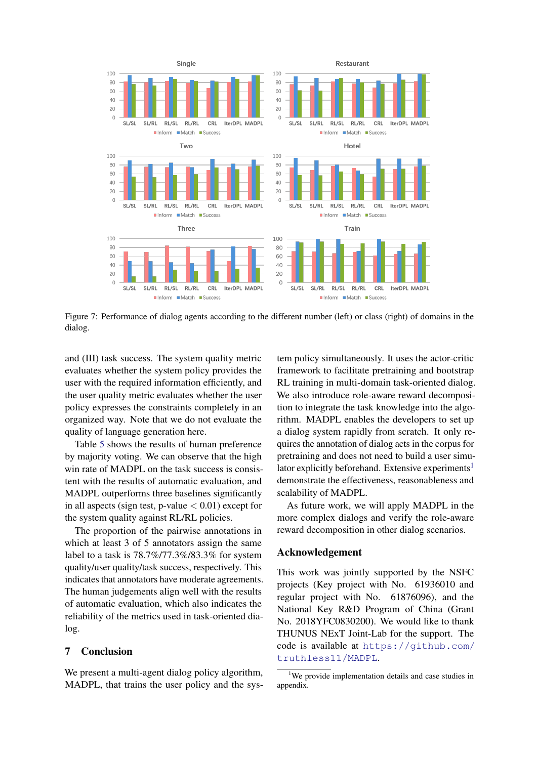<span id="page-8-0"></span>

Figure 7: Performance of dialog agents according to the different number (left) or class (right) of domains in the dialog.

and (III) task success. The system quality metric evaluates whether the system policy provides the user with the required information efficiently, and the user quality metric evaluates whether the user policy expresses the constraints completely in an organized way. Note that we do not evaluate the quality of language generation here.

Table [5](#page-7-4) shows the results of human preference by majority voting. We can observe that the high win rate of MADPL on the task success is consistent with the results of automatic evaluation, and MADPL outperforms three baselines significantly in all aspects (sign test, p-value  $< 0.01$ ) except for the system quality against RL/RL policies.

The proportion of the pairwise annotations in which at least 3 of 5 annotators assign the same label to a task is 78.7%/77.3%/83.3% for system quality/user quality/task success, respectively. This indicates that annotators have moderate agreements. The human judgements align well with the results of automatic evaluation, which also indicates the reliability of the metrics used in task-oriented dialog.

# 7 Conclusion

We present a multi-agent dialog policy algorithm, MADPL, that trains the user policy and the system policy simultaneously. It uses the actor-critic framework to facilitate pretraining and bootstrap RL training in multi-domain task-oriented dialog. We also introduce role-aware reward decomposition to integrate the task knowledge into the algorithm. MADPL enables the developers to set up a dialog system rapidly from scratch. It only requires the annotation of dialog acts in the corpus for pretraining and does not need to build a user simu-lator explicitly beforehand. Extensive experiments<sup>[1](#page-8-1)</sup> demonstrate the effectiveness, reasonableness and scalability of MADPL.

As future work, we will apply MADPL in the more complex dialogs and verify the role-aware reward decomposition in other dialog scenarios.

### Acknowledgement

This work was jointly supported by the NSFC projects (Key project with No. 61936010 and regular project with No. 61876096), and the National Key R&D Program of China (Grant No. 2018YFC0830200). We would like to thank THUNUS NExT Joint-Lab for the support. The code is available at [https://github.com/](https://github.com/truthless11/MADPL) [truthless11/MADPL](https://github.com/truthless11/MADPL).

<span id="page-8-1"></span><sup>&</sup>lt;sup>1</sup>We provide implementation details and case studies in appendix.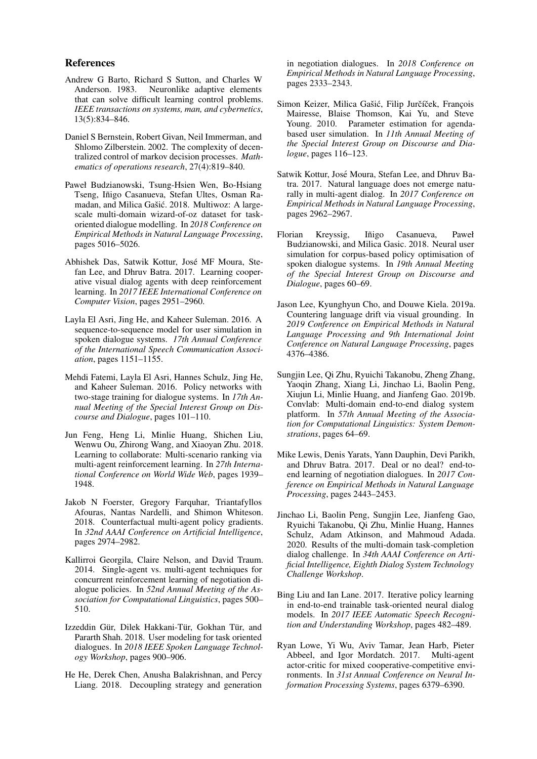### References

- <span id="page-9-3"></span>Andrew G Barto, Richard S Sutton, and Charles W Anderson. 1983. Neuronlike adaptive elements that can solve difficult learning control problems. *IEEE transactions on systems, man, and cybernetics*, 13(5):834–846.
- <span id="page-9-4"></span>Daniel S Bernstein, Robert Givan, Neil Immerman, and Shlomo Zilberstein. 2002. The complexity of decentralized control of markov decision processes. *Mathematics of operations research*, 27(4):819–840.
- <span id="page-9-6"></span>Paweł Budzianowski, Tsung-Hsien Wen, Bo-Hsiang Tseng, Iñigo Casanueva, Stefan Ultes, Osman Ramadan, and Milica Gašić. 2018. Multiwoz: A largescale multi-domain wizard-of-oz dataset for taskoriented dialogue modelling. In *2018 Conference on Empirical Methods in Natural Language Processing*, pages 5016–5026.
- <span id="page-9-9"></span>Abhishek Das, Satwik Kottur, Jose MF Moura, Ste- ´ fan Lee, and Dhruv Batra. 2017. Learning cooperative visual dialog agents with deep reinforcement learning. In *2017 IEEE International Conference on Computer Vision*, pages 2951–2960.
- <span id="page-9-13"></span>Layla El Asri, Jing He, and Kaheer Suleman. 2016. A sequence-to-sequence model for user simulation in spoken dialogue systems. *17th Annual Conference of the International Speech Communication Association*, pages 1151–1155.
- <span id="page-9-16"></span>Mehdi Fatemi, Layla El Asri, Hannes Schulz, Jing He, and Kaheer Suleman. 2016. Policy networks with two-stage training for dialogue systems. In *17th Annual Meeting of the Special Interest Group on Discourse and Dialogue*, pages 101–110.
- <span id="page-9-11"></span>Jun Feng, Heng Li, Minlie Huang, Shichen Liu, Wenwu Ou, Zhirong Wang, and Xiaoyan Zhu. 2018. Learning to collaborate: Multi-scenario ranking via multi-agent reinforcement learning. In *27th International Conference on World Wide Web*, pages 1939– 1948.
- <span id="page-9-8"></span>Jakob N Foerster, Gregory Farquhar, Triantafyllos Afouras, Nantas Nardelli, and Shimon Whiteson. 2018. Counterfactual multi-agent policy gradients. In *32nd AAAI Conference on Artificial Intelligence*, pages 2974–2982.
- <span id="page-9-2"></span>Kallirroi Georgila, Claire Nelson, and David Traum. 2014. Single-agent vs. multi-agent techniques for concurrent reinforcement learning of negotiation dialogue policies. In *52nd Annual Meeting of the Association for Computational Linguistics*, pages 500– 510.
- <span id="page-9-14"></span>Izzeddin Gür, Dilek Hakkani-Tür, Gokhan Tür, and Pararth Shah. 2018. User modeling for task oriented dialogues. In *2018 IEEE Spoken Language Technology Workshop*, pages 900–906.
- <span id="page-9-0"></span>He He, Derek Chen, Anusha Balakrishnan, and Percy Liang. 2018. Decoupling strategy and generation

in negotiation dialogues. In *2018 Conference on Empirical Methods in Natural Language Processing*, pages 2333–2343.

- <span id="page-9-12"></span>Simon Keizer, Milica Gašić, Filip Jurčíček, François Mairesse, Blaise Thomson, Kai Yu, and Steve Young. 2010. Parameter estimation for agendabased user simulation. In *11th Annual Meeting of the Special Interest Group on Discourse and Dialogue*, pages 116–123.
- <span id="page-9-10"></span>Satwik Kottur, Jose Moura, Stefan Lee, and Dhruv Ba- ´ tra. 2017. Natural language does not emerge naturally in multi-agent dialog. In *2017 Conference on Empirical Methods in Natural Language Processing*, pages 2962–2967.
- <span id="page-9-1"></span>Florian Kreyssig, Iñigo Casanueva, Paweł Budzianowski, and Milica Gasic. 2018. Neural user simulation for corpus-based policy optimisation of spoken dialogue systems. In *19th Annual Meeting of the Special Interest Group on Discourse and Dialogue*, pages 60–69.
- <span id="page-9-17"></span>Jason Lee, Kyunghyun Cho, and Douwe Kiela. 2019a. Countering language drift via visual grounding. In *2019 Conference on Empirical Methods in Natural Language Processing and 9th International Joint Conference on Natural Language Processing*, pages 4376–4386.
- <span id="page-9-18"></span>Sungjin Lee, Qi Zhu, Ryuichi Takanobu, Zheng Zhang, Yaoqin Zhang, Xiang Li, Jinchao Li, Baolin Peng, Xiujun Li, Minlie Huang, and Jianfeng Gao. 2019b. Convlab: Multi-domain end-to-end dialog system platform. In *57th Annual Meeting of the Association for Computational Linguistics: System Demonstrations*, pages 64–69.
- <span id="page-9-5"></span>Mike Lewis, Denis Yarats, Yann Dauphin, Devi Parikh, and Dhruv Batra. 2017. Deal or no deal? end-toend learning of negotiation dialogues. In *2017 Conference on Empirical Methods in Natural Language Processing*, pages 2443–2453.
- <span id="page-9-19"></span>Jinchao Li, Baolin Peng, Sungjin Lee, Jianfeng Gao, Ryuichi Takanobu, Qi Zhu, Minlie Huang, Hannes Schulz, Adam Atkinson, and Mahmoud Adada. 2020. Results of the multi-domain task-completion dialog challenge. In *34th AAAI Conference on Artificial Intelligence, Eighth Dialog System Technology Challenge Workshop*.
- <span id="page-9-15"></span>Bing Liu and Ian Lane. 2017. Iterative policy learning in end-to-end trainable task-oriented neural dialog models. In *2017 IEEE Automatic Speech Recognition and Understanding Workshop*, pages 482–489.
- <span id="page-9-7"></span>Ryan Lowe, Yi Wu, Aviv Tamar, Jean Harb, Pieter Abbeel, and Igor Mordatch. 2017. Multi-agent actor-critic for mixed cooperative-competitive environments. In *31st Annual Conference on Neural Information Processing Systems*, pages 6379–6390.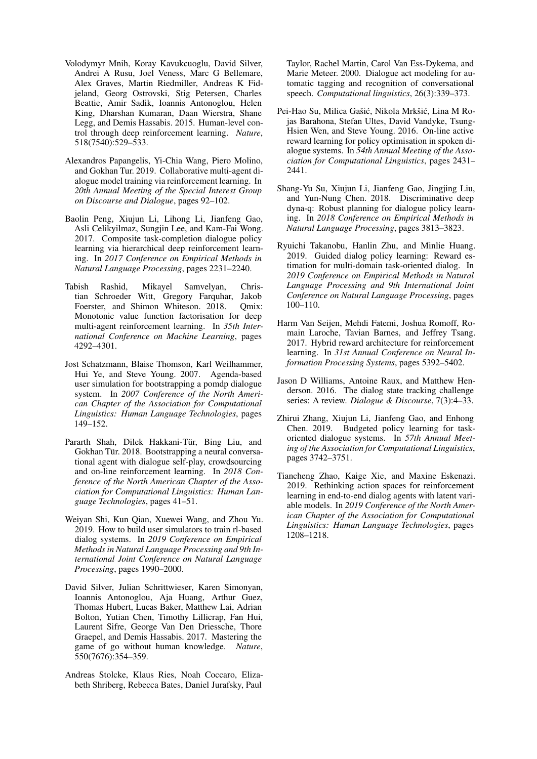- <span id="page-10-15"></span>Volodymyr Mnih, Koray Kavukcuoglu, David Silver, Andrei A Rusu, Joel Veness, Marc G Bellemare, Alex Graves, Martin Riedmiller, Andreas K Fidjeland, Georg Ostrovski, Stig Petersen, Charles Beattie, Amir Sadik, Ioannis Antonoglou, Helen King, Dharshan Kumaran, Daan Wierstra, Shane Legg, and Demis Hassabis. 2015. Human-level control through deep reinforcement learning. *Nature*, 518(7540):529–533.
- <span id="page-10-6"></span>Alexandros Papangelis, Yi-Chia Wang, Piero Molino, and Gokhan Tur. 2019. Collaborative multi-agent dialogue model training via reinforcement learning. In *20th Annual Meeting of the Special Interest Group on Discourse and Dialogue*, pages 92–102.
- <span id="page-10-1"></span>Baolin Peng, Xiujun Li, Lihong Li, Jianfeng Gao, Asli Celikyilmaz, Sungjin Lee, and Kam-Fai Wong. 2017. Composite task-completion dialogue policy learning via hierarchical deep reinforcement learning. In *2017 Conference on Empirical Methods in Natural Language Processing*, pages 2231–2240.
- <span id="page-10-8"></span>Tabish Rashid, Mikayel Samvelyan, Christian Schroeder Witt, Gregory Farquhar, Jakob Foerster, and Shimon Whiteson. 2018. Omix: Monotonic value function factorisation for deep multi-agent reinforcement learning. In *35th International Conference on Machine Learning*, pages 4292–4301.
- <span id="page-10-9"></span>Jost Schatzmann, Blaise Thomson, Karl Weilhammer, Hui Ye, and Steve Young. 2007. Agenda-based user simulation for bootstrapping a pomdp dialogue system. In *2007 Conference of the North American Chapter of the Association for Computational Linguistics: Human Language Technologies*, pages 149–152.
- <span id="page-10-10"></span>Pararth Shah, Dilek Hakkani-Tür, Bing Liu, and Gokhan Tür. 2018. Bootstrapping a neural conversational agent with dialogue self-play, crowdsourcing and on-line reinforcement learning. In *2018 Conference of the North American Chapter of the Association for Computational Linguistics: Human Language Technologies*, pages 41–51.
- <span id="page-10-5"></span>Weiyan Shi, Kun Qian, Xuewei Wang, and Zhou Yu. 2019. How to build user simulators to train rl-based dialog systems. In *2019 Conference on Empirical Methods in Natural Language Processing and 9th International Joint Conference on Natural Language Processing*, pages 1990–2000.
- <span id="page-10-7"></span>David Silver, Julian Schrittwieser, Karen Simonyan, Ioannis Antonoglou, Aja Huang, Arthur Guez, Thomas Hubert, Lucas Baker, Matthew Lai, Adrian Bolton, Yutian Chen, Timothy Lillicrap, Fan Hui, Laurent Sifre, George Van Den Driessche, Thore Graepel, and Demis Hassabis. 2017. Mastering the game of go without human knowledge. *Nature*, 550(7676):354–359.
- <span id="page-10-12"></span>Andreas Stolcke, Klaus Ries, Noah Coccaro, Elizabeth Shriberg, Rebecca Bates, Daniel Jurafsky, Paul

Taylor, Rachel Martin, Carol Van Ess-Dykema, and Marie Meteer. 2000. Dialogue act modeling for automatic tagging and recognition of conversational speech. *Computational linguistics*, 26(3):339–373.

- <span id="page-10-0"></span>Pei-Hao Su, Milica Gašić, Nikola Mrkšić, Lina M Rojas Barahona, Stefan Ultes, David Vandyke, Tsung-Hsien Wen, and Steve Young. 2016. On-line active reward learning for policy optimisation in spoken dialogue systems. In *54th Annual Meeting of the Association for Computational Linguistics*, pages 2431– 2441.
- <span id="page-10-11"></span>Shang-Yu Su, Xiujun Li, Jianfeng Gao, Jingjing Liu, and Yun-Nung Chen. 2018. Discriminative deep dyna-q: Robust planning for dialogue policy learning. In *2018 Conference on Empirical Methods in Natural Language Processing*, pages 3813–3823.
- <span id="page-10-4"></span>Ryuichi Takanobu, Hanlin Zhu, and Minlie Huang. 2019. Guided dialog policy learning: Reward estimation for multi-domain task-oriented dialog. In *2019 Conference on Empirical Methods in Natural Language Processing and 9th International Joint Conference on Natural Language Processing*, pages 100–110.
- <span id="page-10-14"></span>Harm Van Seijen, Mehdi Fatemi, Joshua Romoff, Romain Laroche, Tavian Barnes, and Jeffrey Tsang. 2017. Hybrid reward architecture for reinforcement learning. In *31st Annual Conference on Neural Information Processing Systems*, pages 5392–5402.
- <span id="page-10-13"></span>Jason D Williams, Antoine Raux, and Matthew Henderson. 2016. The dialog state tracking challenge series: A review. *Dialogue & Discourse*, 7(3):4–33.
- <span id="page-10-3"></span>Zhirui Zhang, Xiujun Li, Jianfeng Gao, and Enhong Chen. 2019. Budgeted policy learning for taskoriented dialogue systems. In *57th Annual Meeting of the Association for Computational Linguistics*, pages 3742–3751.
- <span id="page-10-2"></span>Tiancheng Zhao, Kaige Xie, and Maxine Eskenazi. 2019. Rethinking action spaces for reinforcement learning in end-to-end dialog agents with latent variable models. In *2019 Conference of the North American Chapter of the Association for Computational Linguistics: Human Language Technologies*, pages 1208–1218.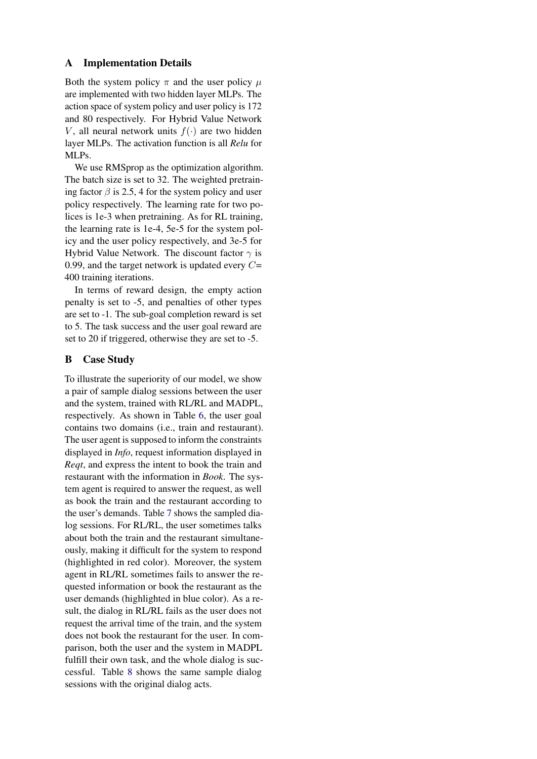# A Implementation Details

Both the system policy  $\pi$  and the user policy  $\mu$ are implemented with two hidden layer MLPs. The action space of system policy and user policy is 172 and 80 respectively. For Hybrid Value Network V, all neural network units  $f(\cdot)$  are two hidden layer MLPs. The activation function is all *Relu* for MLPs.

We use RMSprop as the optimization algorithm. The batch size is set to 32. The weighted pretraining factor  $\beta$  is 2.5, 4 for the system policy and user policy respectively. The learning rate for two polices is 1e-3 when pretraining. As for RL training, the learning rate is 1e-4, 5e-5 for the system policy and the user policy respectively, and 3e-5 for Hybrid Value Network. The discount factor  $\gamma$  is 0.99, and the target network is updated every  $C=$ 400 training iterations.

In terms of reward design, the empty action penalty is set to -5, and penalties of other types are set to -1. The sub-goal completion reward is set to 5. The task success and the user goal reward are set to 20 if triggered, otherwise they are set to -5.

# B Case Study

To illustrate the superiority of our model, we show a pair of sample dialog sessions between the user and the system, trained with RL/RL and MADPL, respectively. As shown in Table [6,](#page-12-0) the user goal contains two domains (i.e., train and restaurant). The user agent is supposed to inform the constraints displayed in *Info*, request information displayed in *Reqt*, and express the intent to book the train and restaurant with the information in *Book*. The system agent is required to answer the request, as well as book the train and the restaurant according to the user's demands. Table [7](#page-12-1) shows the sampled dialog sessions. For RL/RL, the user sometimes talks about both the train and the restaurant simultaneously, making it difficult for the system to respond (highlighted in red color). Moreover, the system agent in RL/RL sometimes fails to answer the requested information or book the restaurant as the user demands (highlighted in blue color). As a result, the dialog in RL/RL fails as the user does not request the arrival time of the train, and the system does not book the restaurant for the user. In comparison, both the user and the system in MADPL fulfill their own task, and the whole dialog is successful. Table [8](#page-13-0) shows the same sample dialog sessions with the original dialog acts.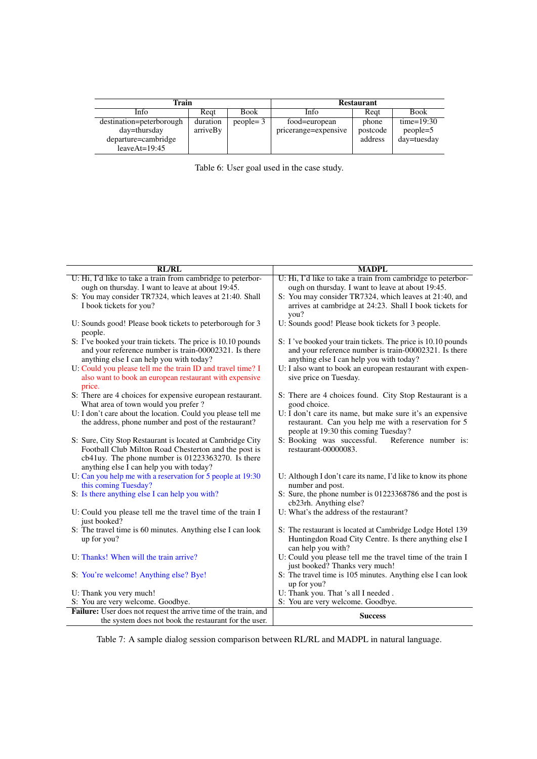<span id="page-12-0"></span>

| Train                    |          |              | <b>Restaurant</b>    |          |               |  |
|--------------------------|----------|--------------|----------------------|----------|---------------|--|
| Info                     | Reat     | <b>Book</b>  | Info                 | Reat     | <b>Book</b>   |  |
| destination=peterborough | duration | $people = 3$ | food=european        | phone    | time= $19:30$ |  |
| day=thursday             | arriveBy |              | pricerange=expensive | postcode | $people=5$    |  |
| departure=cambridge      |          |              |                      | address  | day=tuesday   |  |
| leave $At=19:45$         |          |              |                      |          |               |  |

| Table 6: User goal used in the case study. |  |  |  |  |  |
|--------------------------------------------|--|--|--|--|--|
|                                            |  |  |  |  |  |

<span id="page-12-1"></span>

| <b>RL/RL</b>                                                                                                          | <b>MADPL</b>                                                                                                          |
|-----------------------------------------------------------------------------------------------------------------------|-----------------------------------------------------------------------------------------------------------------------|
| U: Hi, I'd like to take a train from cambridge to peterbor-                                                           | U: Hi, I'd like to take a train from cambridge to peterbor-                                                           |
| ough on thursday. I want to leave at about 19:45.                                                                     | ough on thursday. I want to leave at about 19:45.                                                                     |
| S: You may consider TR7324, which leaves at 21:40. Shall                                                              | S: You may consider TR7324, which leaves at 21:40, and                                                                |
| I book tickets for you?                                                                                               | arrives at cambridge at 24:23. Shall I book tickets for                                                               |
|                                                                                                                       | you?                                                                                                                  |
| U: Sounds good! Please book tickets to peterborough for 3                                                             | U: Sounds good! Please book tickets for 3 people.                                                                     |
| people.                                                                                                               |                                                                                                                       |
| S: I've booked your train tickets. The price is 10.10 pounds<br>and your reference number is train-00002321. Is there | S: I've booked your train tickets. The price is 10.10 pounds<br>and your reference number is train-00002321. Is there |
| anything else I can help you with today?                                                                              | anything else I can help you with today?                                                                              |
| U: Could you please tell me the train ID and travel time? I                                                           | U: I also want to book an european restaurant with expen-                                                             |
| also want to book an european restaurant with expensive                                                               | sive price on Tuesday.                                                                                                |
| price.                                                                                                                |                                                                                                                       |
| S: There are 4 choices for expensive european restaurant.                                                             | S: There are 4 choices found. City Stop Restaurant is a                                                               |
| What area of town would you prefer ?                                                                                  | good choice.                                                                                                          |
| U: I don't care about the location. Could you please tell me                                                          | U: I don't care its name, but make sure it's an expensive                                                             |
| the address, phone number and post of the restaurant?                                                                 | restaurant. Can you help me with a reservation for 5                                                                  |
|                                                                                                                       | people at 19:30 this coming Tuesday?                                                                                  |
| S: Sure, City Stop Restaurant is located at Cambridge City                                                            | S: Booking was successful.<br>Reference number is:                                                                    |
| Football Club Milton Road Chesterton and the post is                                                                  | restaurant-00000083.                                                                                                  |
| cb41uy. The phone number is 01223363270. Is there                                                                     |                                                                                                                       |
| anything else I can help you with today?                                                                              |                                                                                                                       |
| U: Can you help me with a reservation for 5 people at 19:30<br>this coming Tuesday?                                   | U: Although I don't care its name, I'd like to know its phone<br>number and post.                                     |
| S: Is there anything else I can help you with?                                                                        | S: Sure, the phone number is 01223368786 and the post is                                                              |
|                                                                                                                       | cb23rh. Anything else?                                                                                                |
| U: Could you please tell me the travel time of the train I                                                            | U: What's the address of the restaurant?                                                                              |
| just booked?                                                                                                          |                                                                                                                       |
| S: The travel time is 60 minutes. Anything else I can look                                                            | S: The restaurant is located at Cambridge Lodge Hotel 139                                                             |
| up for you?                                                                                                           | Huntingdon Road City Centre. Is there anything else I                                                                 |
|                                                                                                                       | can help you with?                                                                                                    |
| U: Thanks! When will the train arrive?                                                                                | U: Could you please tell me the travel time of the train I                                                            |
|                                                                                                                       | just booked? Thanks very much!                                                                                        |
| S: You're welcome! Anything else? Bye!                                                                                | S: The travel time is 105 minutes. Anything else I can look                                                           |
| U: Thank you very much!                                                                                               | up for you?<br>U: Thank you. That 's all I needed.                                                                    |
| S: You are very welcome. Goodbye.                                                                                     | S: You are very welcome. Goodbye.                                                                                     |
| Failure: User does not request the arrive time of the train, and                                                      |                                                                                                                       |
| the system does not book the restaurant for the user.                                                                 | <b>Success</b>                                                                                                        |

Table 7: A sample dialog session comparison between RL/RL and MADPL in natural language.